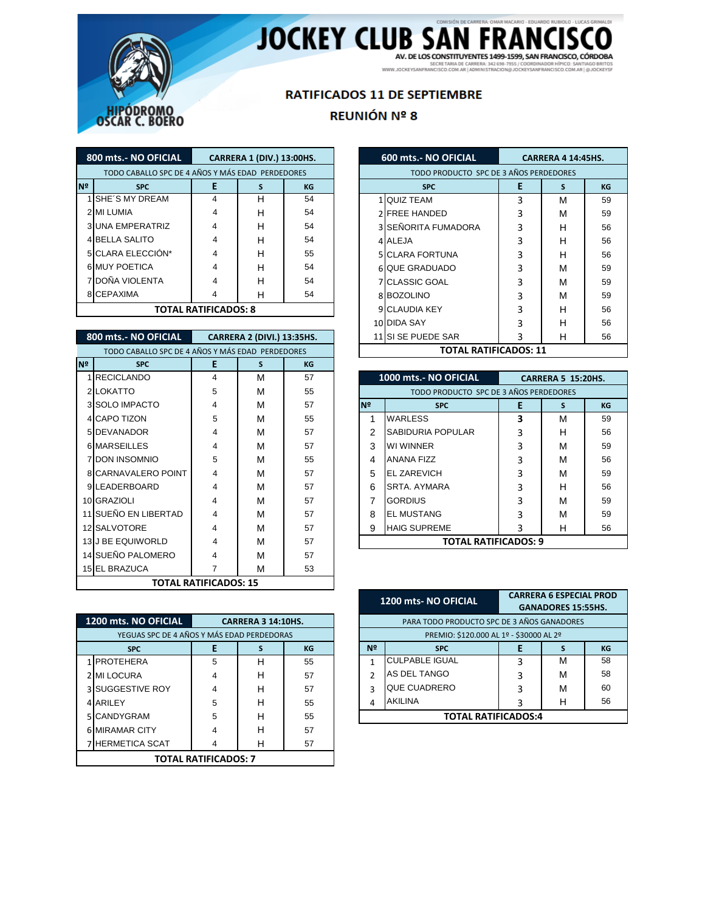

## JOCKEY CLUB SAN FRANCISCO

## **RATIFICADOS 11 DE SEPTIEMBRE**

## REUNIÓN Nº 8

|    | 800 mts.- NO OFICIAL                             | CARRERA 1 (DIV.) 13:00HS.   |   |    |  |  |  |
|----|--------------------------------------------------|-----------------------------|---|----|--|--|--|
|    | TODO CABALLO SPC DE 4 AÑOS Y MÁS EDAD PERDEDORES |                             |   |    |  |  |  |
| Nº | <b>SPC</b>                                       | Е                           | S | KG |  |  |  |
|    | 1 SHE'S MY DREAM                                 | 4                           | н | 54 |  |  |  |
|    | 2 MI LUMIA                                       |                             | н | 54 |  |  |  |
|    | <b>3 UNA EMPERATRIZ</b>                          |                             | н | 54 |  |  |  |
|    | <b>4 BELLA SALITO</b>                            |                             | н | 54 |  |  |  |
|    | 5 CLARA ELECCIÓN*                                |                             | н | 55 |  |  |  |
|    | <b>6 MUY POETICA</b>                             |                             | н | 54 |  |  |  |
|    | DOÑA VIOLENTA                                    |                             | н | 54 |  |  |  |
|    | 8 CEPAXIMA                                       |                             |   | 54 |  |  |  |
|    |                                                  | <b>TOTAL RATIFICADOS: 8</b> |   |    |  |  |  |

| 800 mts.- NO OFICIAL<br><b>CARRERA 2 (DIVI.) 13:35HS.</b> |                         |                              |   |    |  |  |
|-----------------------------------------------------------|-------------------------|------------------------------|---|----|--|--|
| TODO CABALLO SPC DE 4 AÑOS Y MÁS EDAD PERDEDORES          |                         |                              |   |    |  |  |
| N <sup>2</sup>                                            | <b>SPC</b>              | E                            | S | KG |  |  |
|                                                           | 1 RECICLANDO            | 4                            | м | 57 |  |  |
|                                                           | 2 LOKATTO               | 5                            | м | 55 |  |  |
|                                                           | 3 SOLO IMPACTO          | 4                            | м | 57 |  |  |
|                                                           | 4 CAPO TIZON            | 5                            | м | 55 |  |  |
|                                                           | 5 DEVANADOR             | 4                            | м | 57 |  |  |
|                                                           | <b>6 MARSEILLES</b>     | 4                            | м | 57 |  |  |
|                                                           | <b>7 DON INSOMNIO</b>   | 5                            | м | 55 |  |  |
|                                                           | 8 CARNAVALERO POINT     | 4                            | М | 57 |  |  |
|                                                           | 9LEADERBOARD            | 4                            | М | 57 |  |  |
|                                                           | 10 GRAZIOLI             | 4                            | м | 57 |  |  |
|                                                           | 11 SUEÑO EN LIBERTAD    | 4                            | м | 57 |  |  |
|                                                           | 12 SALVOTORE            | 4                            | М | 57 |  |  |
|                                                           | <b>13J BE EQUIWORLD</b> | 4                            | м | 57 |  |  |
|                                                           | 14 SUEÑO PALOMERO       | 4                            | м | 57 |  |  |
|                                                           | <b>15 EL BRAZUCA</b>    | 7                            | М | 53 |  |  |
|                                                           |                         | <b>TOTAL RATIFICADOS: 15</b> |   |    |  |  |

|                                            | 1200 mts. NO OFICIAL  | <b>CARRERA 3 14:10HS.</b>   |   |    |  |  |  |
|--------------------------------------------|-----------------------|-----------------------------|---|----|--|--|--|
| YEGUAS SPC DE 4 AÑOS Y MÁS EDAD PERDEDORAS |                       |                             |   |    |  |  |  |
| Е<br>KG<br><b>SPC</b>                      |                       |                             |   |    |  |  |  |
|                                            | <b>PROTEHERA</b>      | 5                           | н | 55 |  |  |  |
|                                            | <b>MI LOCURA</b>      | 4                           | н | 57 |  |  |  |
|                                            | <b>SUGGESTIVE ROY</b> | 4                           | н | 57 |  |  |  |
| 4                                          | ARILEY                | 5                           | н | 55 |  |  |  |
|                                            | CANDYGRAM             | 5                           | н | 55 |  |  |  |
|                                            | <b>MIRAMAR CITY</b>   |                             | н | 57 |  |  |  |
|                                            | <b>HERMETICA SCAT</b> |                             | н | 57 |  |  |  |
|                                            |                       | <b>TOTAL RATIFICADOS: 7</b> |   |    |  |  |  |

| <b>600 mts.- NO OFICIAL</b>            | <b>CARRERA 4 14:45HS.</b> |   |    |  |  |  |  |
|----------------------------------------|---------------------------|---|----|--|--|--|--|
| TODO PRODUCTO SPC DE 3 AÑOS PERDEDORES |                           |   |    |  |  |  |  |
| <b>SPC</b>                             | E                         | S | КG |  |  |  |  |
| <b>QUIZ TEAM</b><br>1                  | 3                         | М | 59 |  |  |  |  |
| <b>FREE HANDED</b><br>$\mathcal{P}$    | 3                         | М | 59 |  |  |  |  |
| SEÑORITA FUMADORA<br>3                 | 3                         | н | 56 |  |  |  |  |
| ALEJA<br>$\overline{4}$                | 3                         | н | 56 |  |  |  |  |
| <b>CLARA FORTUNA</b><br>5.             | 3                         | н | 56 |  |  |  |  |
| QUE GRADUADO<br>6                      | 3                         | м | 59 |  |  |  |  |
| <b>CLASSIC GOAL</b><br>7               | 3                         | м | 59 |  |  |  |  |
| <b>BOZOLINO</b><br>8                   | 3                         | м | 59 |  |  |  |  |
| <b>CLAUDIA KEY</b><br>9                | 3                         | н | 56 |  |  |  |  |
| <b>DIDA SAY</b><br>10                  | 3                         | н | 56 |  |  |  |  |
| SI SE PUEDE SAR<br>11                  | 3                         | н | 56 |  |  |  |  |
| <b>TOTAL RATIFICADOS: 11</b>           |                           |   |    |  |  |  |  |

|                | 1000 mts.- NO OFICIAL                  |   | <b>CARRERA 5 15:20HS.</b> |    |
|----------------|----------------------------------------|---|---------------------------|----|
|                | TODO PRODUCTO SPC DE 3 AÑOS PERDEDORES |   |                           |    |
| N <sub>2</sub> | <b>SPC</b>                             | E | S                         | КG |
| 1              | WARLESS                                | 3 | м                         | 59 |
| 2              | SABIDURIA POPULAR                      | 3 | н                         | 56 |
| 3              | WI WINNER                              | 3 | м                         | 59 |
| 4              | <b>ANANA FIZZ</b>                      | 3 | м                         | 56 |
| 5              | <b>EL ZAREVICH</b>                     | 3 | м                         | 59 |
| 6              | SRTA, AYMARA                           | 3 | н                         | 56 |
| 7              | <b>GORDIUS</b>                         | 3 | м                         | 59 |
| 8              | <b>EL MUSTANG</b>                      | 3 | м                         | 59 |
| 9              | <b>HAIG SUPREME</b>                    | 3 | н                         | 56 |
|                | <b>TOTAL RATIFICADOS: 9</b>            |   |                           |    |

|                                            | 1200 mts-NO OFICIAL        | <b>CARRERA 6 ESPECIAL PROD</b><br><b>GANADORES 15:55HS.</b> |   |    |  |  |  |
|--------------------------------------------|----------------------------|-------------------------------------------------------------|---|----|--|--|--|
| PARA TODO PRODUCTO SPC DE 3 AÑOS GANADORES |                            |                                                             |   |    |  |  |  |
| PREMIO: \$120.000 AL 1º - \$30000 AL 2º    |                            |                                                             |   |    |  |  |  |
| Nº                                         | <b>SPC</b>                 | Е                                                           |   | КG |  |  |  |
| 1                                          | <b>CULPABLE IGUAL</b>      | 3                                                           | м | 58 |  |  |  |
| $\mathcal{P}$                              | AS DEL TANGO               | 3                                                           | м | 58 |  |  |  |
| 3                                          | <b>QUE CUADRERO</b>        | 3                                                           | м | 60 |  |  |  |
| 4                                          | <b>AKILINA</b>             | 3                                                           | н | 56 |  |  |  |
|                                            | <b>TOTAL RATIFICADOS:4</b> |                                                             |   |    |  |  |  |